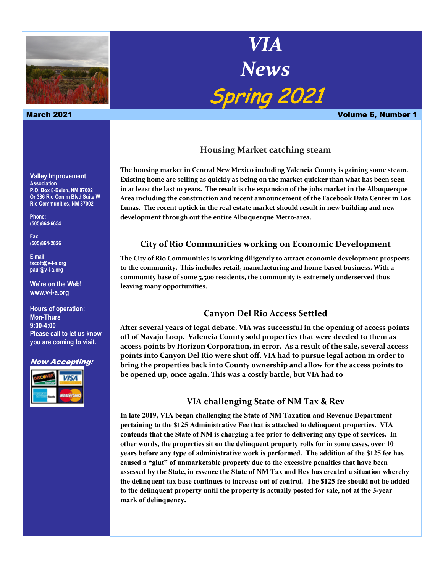

**Valley Improvement Association P.O. Box 8-Belen, NM 87002 Or 386 Rio Comm Blvd Suite W Rio Communities, NM 87002**

**Phone: (505)864-6654**

**Fax: (505)864-2826**

**E-mail: tscott@v-i-a.org paul@v-i-a.org**

**We're on the Web! www.v-i-a.org**

**Hours of operation: Mon-Thurs 9:00-4:00 Please call to let us know you are coming to visit.**

#### Now Accepting:



# *VIA News* Spring 2021

March 2021 Volume 6, Number 1

#### **Housing Market catching steam**

**The housing market in Central New Mexico including Valencia County is gaining some steam. Existing home are selling as quickly as being on the market quicker than what has been seen in at least the last 10 years. The result is the expansion of the jobs market in the Albuquerque Area including the construction and recent announcement of the Facebook Data Center in Los Lunas. The recent uptick in the real estate market should result in new building and new development through out the entire Albuquerque Metro-area.**

### **City of Rio Communities working on Economic Development**

**The City of Rio Communities is working diligently to attract economic development prospects to the community. This includes retail, manufacturing and home-based business. With a community base of some 5,500 residents, the community is extremely underserved thus leaving many opportunities.**

#### **Canyon Del Rio Access Settled**

**After several years of legal debate, VIA was successful in the opening of access points off of Navajo Loop. Valencia County sold properties that were deeded to them as access points by Horizon Corporation, in error. As a result of the sale, several access points into Canyon Del Rio were shut off, VIA had to pursue legal action in order to bring the properties back into County ownership and allow for the access points to be opened up, once again. This was a costly battle, but VIA had to** 

#### **VIA challenging State of NM Tax & Rev**

**In late 2019, VIA began challenging the State of NM Taxation and Revenue Department pertaining to the \$125 Administrative Fee that is attached to delinquent properties. VIA contends that the State of NM is charging a fee prior to delivering any type of services. In other words, the properties sit on the delinquent property rolls for in some cases, over 10 years before any type of administrative work is performed. The addition of the \$125 fee has caused a "glut" of unmarketable property due to the excessive penalties that have been assessed by the State, in essence the State of NM Tax and Rev has created a situation whereby the delinquent tax base continues to increase out of control. The \$125 fee should not be added to the delinquent property until the property is actually posted for sale, not at the 3-year mark of delinquency.**